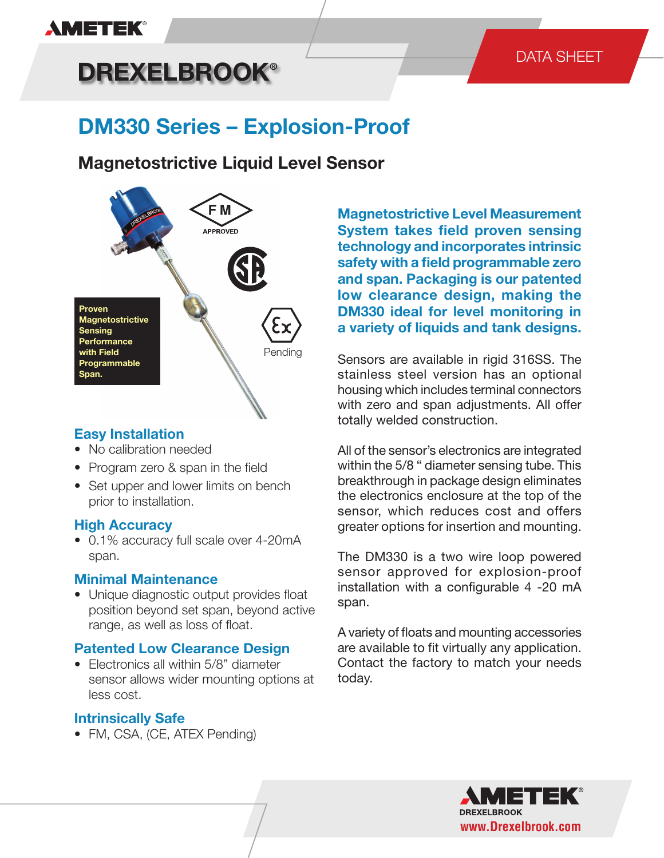## **AMETEK®**

# **DREXELBROOK®**

## DATA SHEET

## **DM330 Series – Explosion-Proof**

## **Magnetostrictive Liquid Level Sensor**



### **Easy Installation**

- No calibration needed
- Program zero & span in the field
- Set upper and lower limits on bench prior to installation.

#### **High Accuracy**

• 0.1% accuracy full scale over 4-20mA span.

#### **Minimal Maintenance**

• Unique diagnostic output provides float position beyond set span, beyond active range, as well as loss of float.

### **Patented Low Clearance Design**

• Electronics all within 5/8" diameter sensor allows wider mounting options at less cost.

### **Intrinsically Safe**

• FM, CSA, (CE, ATEX Pending)

**Magnetostrictive Level Measurement System takes field proven sensing technology and incorporates intrinsic safety with a field programmable zero and span. Packaging is our patented low clearance design, making the DM330 ideal for level monitoring in a variety of liquids and tank designs.**

Sensors are available in rigid 316SS. The stainless steel version has an optional housing which includes terminal connectors with zero and span adjustments. All offer totally welded construction.

All of the sensor's electronics are integrated within the 5/8 " diameter sensing tube. This breakthrough in package design eliminates the electronics enclosure at the top of the sensor, which reduces cost and offers greater options for insertion and mounting.

The DM330 is a two wire loop powered sensor approved for explosion-proof installation with a configurable 4 -20 mA span.

A variety of floats and mounting accessories are available to fit virtually any application. Contact the factory to match your needs today.

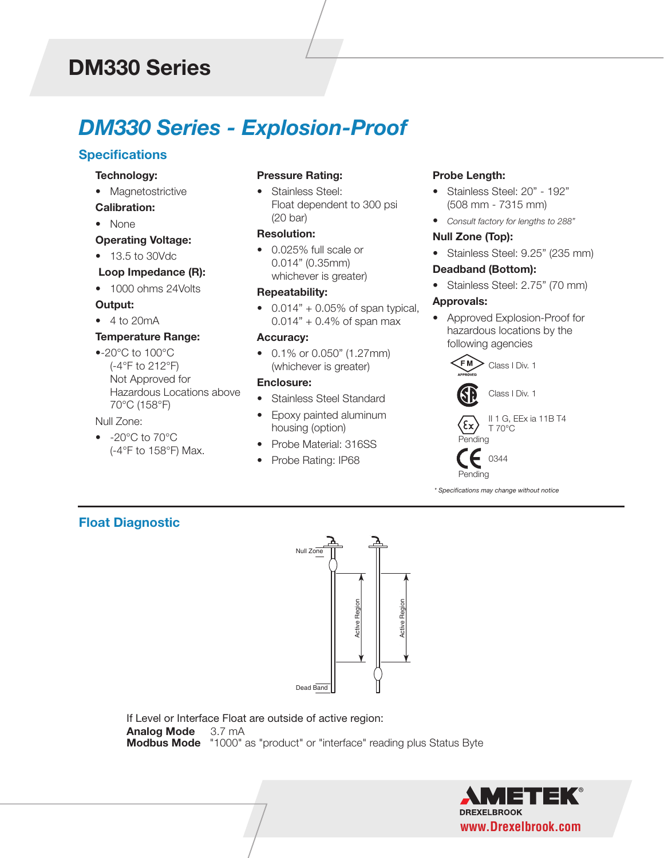## **DM330 Series**

## *DM330 Series - Explosion-Proof*

### **Specifications**

#### **Technology:**

- Magnetostrictive **Calibration:**
- 
- None

#### **Operating Voltage:**

• 13.5 to 30Vdc

#### **Loop Impedance (R):**

• 1000 ohms 24Volts

#### **Output:**

• 4 to 20mA

#### **Temperature Range:**

•-20°C to 100°C (-4°F to 212°F) Not Approved for Hazardous Locations above 70°C (158°F)

#### Null Zone:

• -20°C to 70°C (-4°F to 158°F) Max.

#### **Pressure Rating:**

• Stainless Steel: Float dependent to 300 psi (20 bar)

#### **Resolution:**

• 0.025% full scale or 0.014" (0.35mm) whichever is greater)

#### **Repeatability:**

•  $0.014" + 0.05\%$  of span typical,  $0.014" + 0.4\%$  of span max

#### **Accuracy:**

• 0.1% or 0.050" (1.27mm) (whichever is greater)

#### **Enclosure:**

- Stainless Steel Standard
- Epoxy painted aluminum housing (option)
- Probe Material: 316SS
- Probe Rating: IP68

#### **Probe Length:**

- Stainless Steel: 20" 192" (508 mm - 7315 mm)
- *Consult factory for lengths to 288"*

#### **Null Zone (Top):**

• Stainless Steel: 9.25" (235 mm)

#### **Deadband (Bottom):**

• Stainless Steel: 2.75" (70 mm)

#### **Approvals:**

• Approved Explosion-Proof for hazardous locations by the following agencies



Class I Div. 1



*\* Specifications may change without notice*

### **Float Diagnostic**



If Level or Interface Float are outside of active region: **Analog Mode** 3.7 mA<br>**Modbus Mode** "1000" as "product" or "interface" reading plus Status Byte

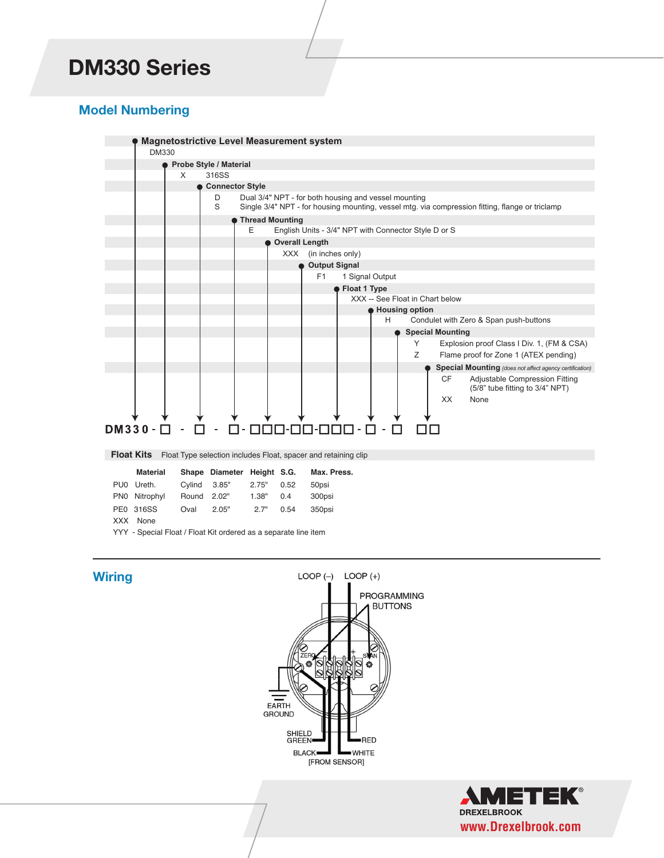## *DM330 Series* **DM330 Series**

### **Model Numbering**



|     | Material      |             | Shape Diameter Height S.G. |       |      | Max. Press. |
|-----|---------------|-------------|----------------------------|-------|------|-------------|
|     | PU0 Ureth.    |             | Cylind 3.85"               | 2.75" | 0.52 | 50psi       |
|     | PN0 Nitrophyl | Round 2.02" |                            | 1.38" | 0.4  | 300psi      |
|     | PE0 316SS     | Oval        | 2.05"                      | 2.7"  | 0.54 | 350psi      |
| XXX | None          |             |                            |       |      |             |

YYY - Special Float / Float Kit ordered as a separate line item

#### **Wiring**